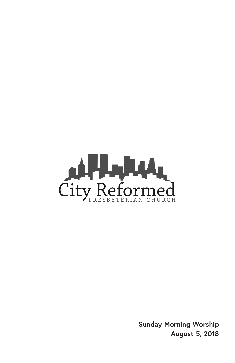

**Sunday Morning Worship August 5, 2018**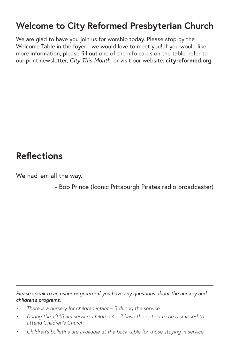### **Welcome to City Reformed Presbyterian Church**

We are glad to have you join us for worship today. Please stop by the Welcome Table in the foyer - we would love to meet you! If you would like more information, please fill out one of the info cards on the table, refer to our print newsletter, *City This Month,* or visit our website: **cityreformed.org**.

### **Reflections**

We had 'em all the way.

- Bob Prince (Iconic Pittsburgh Pirates radio broadcaster)

*Please speak to an usher or greeter if you have any questions about the nursery and children's programs.*

- *• There is a nursery for children infant 3 during the service.*
- *• During the 10:15 am service, children 4 7 have the option to be dismissed to attend Children's Church.*
- *• Children's bulletins are available at the back table for those staying in service.*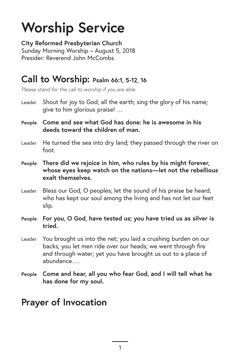# **Worship Service**

**City Reformed Presbyterian Church** Sunday Morning Worship – August 5, 2018 Presider: Reverend John McCombs

### **Call to Worship: Psalm 66:1, 5-12, 16**

*Please stand for the call to worship if you are able.*

- Leader Shout for joy to God, all the earth; sing the glory of his name; give to him glorious praise! …
- **People Come and see what God has done: he is awesome in his deeds toward the children of man.**
- Leader He turned the sea into dry land; they passed through the river on foot.
- **People There did we rejoice in him, who rules by his might forever, whose eyes keep watch on the nations—let not the rebellious exalt themselves.**
- Leader Bless our God, O peoples; let the sound of his praise be heard, who has kept our soul among the living and has not let our feet slip.
- **People For you, O God, have tested us; you have tried us as silver is tried.**
- Leader You brought us into the net; you laid a crushing burden on our backs; you let men ride over our heads; we went through fire and through water; yet you have brought us out to a place of abundance….
- **People Come and hear, all you who fear God, and I will tell what he has done for my soul.**

## **Prayer of Invocation**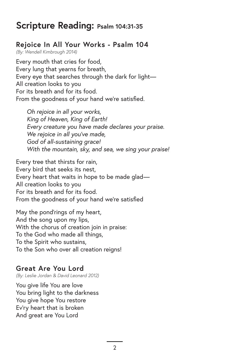### **Scripture Reading: Psalm 104:31-35**

#### **Rejoice In All Your Works - Psalm 104**

*(By: Wendell Kimbrough 2014)*

Every mouth that cries for food, Every lung that yearns for breath, Every eye that searches through the dark for light— All creation looks to you For its breath and for its food. From the goodness of your hand we're satisfied.

*Oh rejoice in all your works, King of Heaven, King of Earth! Every creature you have made declares your praise. We rejoice in all you've made, God of all-sustaining grace! With the mountain, sky, and sea, we sing your praise!* 

Every tree that thirsts for rain, Every bird that seeks its nest, Every heart that waits in hope to be made glad— All creation looks to you For its breath and for its food. From the goodness of your hand we're satisfied

May the pond'rings of my heart, And the song upon my lips, With the chorus of creation join in praise: To the God who made all things, To the Spirit who sustains, To the Son who over all creation reigns!

#### **Great Are You Lord**

*(By: Leslie Jordan & David Leonard 2012)*

You give life You are love You bring light to the darkness You give hope You restore Ev'ry heart that is broken And great are You Lord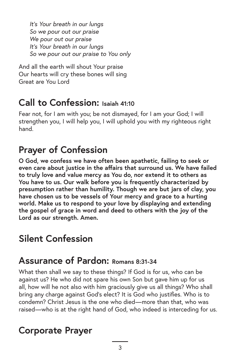*It's Your breath in our lungs So we pour out our praise We pour out our praise It's Your breath in our lungs So we pour out our praise to You only*

And all the earth will shout Your praise Our hearts will cry these bones will sing Great are You Lord

### **Call to Confession: Isaiah 41:10**

Fear not, for I am with you; be not dismayed, for I am your God; I will strengthen you, I will help you, I will uphold you with my righteous right hand.

# **Prayer of Confession**

**O God, we confess we have often been apathetic, failing to seek or even care about justice in the affairs that surround us. We have failed to truly love and value mercy as You do, nor extend it to others as You have to us. Our walk before you is frequently characterized by presumption rather than humility. Though we are but jars of clay, you have chosen us to be vessels of Your mercy and grace to a hurting world. Make us to respond to your love by displaying and extending the gospel of grace in word and deed to others with the joy of the Lord as our strength. Amen.**

# **Silent Confession**

### **Assurance of Pardon: Romans 8:31-34**

What then shall we say to these things? If God is for us, who can be against us? He who did not spare his own Son but gave him up for us all, how will he not also with him graciously give us all things? Who shall bring any charge against God's elect? It is God who justifies. Who is to condemn? Christ Jesus is the one who died—more than that, who was raised—who is at the right hand of God, who indeed is interceding for us.

# **Corporate Prayer**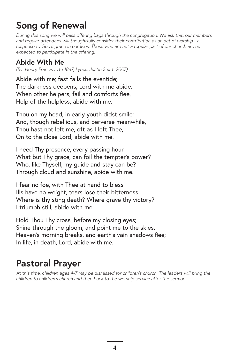# **Song of Renewal**

*During this song we will pass offering bags through the congregation. We ask that our members and regular attendees will thoughtfully consider their contribution as an act of worship - a response to God's grace in our lives. Those who are not a regular part of our church are not expected to participate in the offering.*

#### **Abide With Me**

*(By: Henry Francis Lyte 1847; Lyrics: Justin Smith 2007)*

Abide with me; fast falls the eventide; The darkness deepens; Lord with me abide. When other helpers, fail and comforts flee, Help of the helpless, abide with me.

Thou on my head, in early youth didst smile; And, though rebellious, and perverse meanwhile, Thou hast not left me, oft as I left Thee, On to the close Lord, abide with me.

I need Thy presence, every passing hour. What but Thy grace, can foil the tempter's power? Who, like Thyself, my guide and stay can be? Through cloud and sunshine, abide with me.

I fear no foe, with Thee at hand to bless Ills have no weight, tears lose their bitterness Where is thy sting death? Where grave thy victory? I triumph still, abide with me.

Hold Thou Thy cross, before my closing eyes; Shine through the gloom, and point me to the skies. Heaven's morning breaks, and earth's vain shadows flee; In life, in death, Lord, abide with me.

# **Pastoral Prayer**

*At this time, children ages 4-7 may be dismissed for children's church. The leaders will bring the children to children's church and then back to the worship service after the sermon.*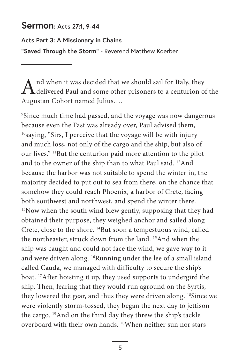#### **Sermon: Acts 27:1, 9-44**

**Acts Part 3: A Missionary in Chains "Saved Through the Storm"** - Reverend Matthew Koerber

And when it was decided that we should sail for Italy, they delivered Paul and some other prisoners to a centurion of the Augustan Cohort named Julius….

9 Since much time had passed, and the voyage was now dangerous because even the Fast was already over, Paul advised them, 10 saying, "Sirs, I perceive that the voyage will be with injury and much loss, not only of the cargo and the ship, but also of our lives." 11 But the centurion paid more attention to the pilot and to the owner of the ship than to what Paul said. 12 And because the harbor was not suitable to spend the winter in, the majority decided to put out to sea from there, on the chance that somehow they could reach Phoenix, a harbor of Crete, facing both southwest and northwest, and spend the winter there. 13 Now when the south wind blew gently, supposing that they had obtained their purpose, they weighed anchor and sailed along Crete, close to the shore. 14But soon a tempestuous wind, called the northeaster, struck down from the land. 15 And when the ship was caught and could not face the wind, we gave way to it and were driven along. 16 Running under the lee of a small island called Cauda, we managed with difficulty to secure the ship's boat. 17 After hoisting it up, they used supports to undergird the ship. Then, fearing that they would run aground on the Syrtis, they lowered the gear, and thus they were driven along. 18 Since we were violently storm-tossed, they began the next day to jettison the cargo. 19And on the third day they threw the ship's tackle overboard with their own hands. 20When neither sun nor stars

5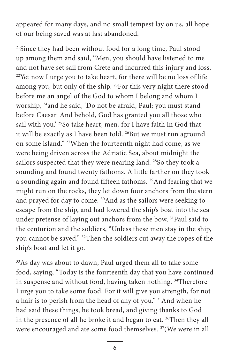appeared for many days, and no small tempest lay on us, all hope of our being saved was at last abandoned.

21 Since they had been without food for a long time, Paul stood up among them and said, "Men, you should have listened to me and not have set sail from Crete and incurred this injury and loss.  $22$ Yet now I urge you to take heart, for there will be no loss of life among you, but only of the ship. <sup>23</sup>For this very night there stood before me an angel of the God to whom I belong and whom I worship, 24 and he said, 'Do not be afraid, Paul; you must stand before Caesar. And behold, God has granted you all those who sail with you.' <sup>25</sup>So take heart, men, for I have faith in God that it will be exactly as I have been told. 26 But we must run aground on some island." <sup>27</sup>When the fourteenth night had come, as we were being driven across the Adriatic Sea, about midnight the sailors suspected that they were nearing land. <sup>28</sup>So they took a sounding and found twenty fathoms. A little farther on they took a sounding again and found fifteen fathoms. 29 And fearing that we might run on the rocks, they let down four anchors from the stern and prayed for day to come. 30 And as the sailors were seeking to escape from the ship, and had lowered the ship's boat into the sea under pretense of laying out anchors from the bow, 31 Paul said to the centurion and the soldiers, "Unless these men stay in the ship, you cannot be saved." 32 Then the soldiers cut away the ropes of the ship's boat and let it go.

33 As day was about to dawn, Paul urged them all to take some food, saying, "Today is the fourteenth day that you have continued in suspense and without food, having taken nothing. 34 Therefore I urge you to take some food. For it will give you strength, for not a hair is to perish from the head of any of you." <sup>35</sup>And when he had said these things, he took bread, and giving thanks to God in the presence of all he broke it and began to eat. 36 Then they all were encouraged and ate some food themselves. 37(We were in all

6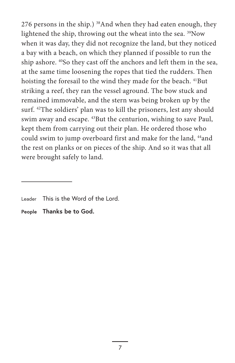276 persons in the ship.) <sup>38</sup>And when they had eaten enough, they lightened the ship, throwing out the wheat into the sea. 39Now when it was day, they did not recognize the land, but they noticed a bay with a beach, on which they planned if possible to run the ship ashore. 40So they cast off the anchors and left them in the sea, at the same time loosening the ropes that tied the rudders. Then hoisting the foresail to the wind they made for the beach. <sup>41</sup>But striking a reef, they ran the vessel aground. The bow stuck and remained immovable, and the stern was being broken up by the surf. 42The soldiers' plan was to kill the prisoners, lest any should swim away and escape. <sup>43</sup>But the centurion, wishing to save Paul, kept them from carrying out their plan. He ordered those who could swim to jump overboard first and make for the land, 44and the rest on planks or on pieces of the ship. And so it was that all were brought safely to land.

**People Thanks be to God.**

Leader This is the Word of the Lord.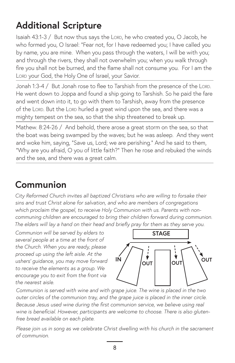# **Additional Scripture**

Isaiah 43:1-3 / But now thus says the Lord, he who created you, O Jacob, he who formed you, O Israel: "Fear not, for I have redeemed you; I have called you by name, you are mine. When you pass through the waters, I will be with you; and through the rivers, they shall not overwhelm you; when you walk through fire you shall not be burned, and the flame shall not consume you. For I am the Lord your God, the Holy One of Israel, your Savior.

Jonah 1:3-4 / But Jonah rose to flee to Tarshish from the presence of the LORD. He went down to Joppa and found a ship going to Tarshish. So he paid the fare and went down into it, to go with them to Tarshish, away from the presence of the Lord. But the Lord hurled a great wind upon the sea, and there was a mighty tempest on the sea, so that the ship threatened to break up.

Mathew. 8:24-26 / And behold, there arose a great storm on the sea, so that the boat was being swamped by the waves; but he was asleep. And they went and woke him, saying, "Save us, Lord; we are perishing." And he said to them, "Why are you afraid, O you of little faith?" Then he rose and rebuked the winds and the sea, and there was a great calm.

## **Communion**

*City Reformed Church invites all baptized Christians who are willing to forsake their sins and trust Christ alone for salvation, and who are members of congregations which proclaim the gospel, to receive Holy Communion with us. Parents with noncommuning children are encouraged to bring their children forward during communion. The elders will lay a hand on their head and briefly pray for them as they serve you.*

*Communion will be served by elders to several people at a time at the front of the Church. When you are ready, please proceed up using the left aisle. At the ushers' guidance, you may move forward to receive the elements as a group. We encourage you to exit from the front via the nearest aisle.*



*Communion is served with wine and with grape juice. The wine is placed in the two outer circles of the communion tray, and the grape juice is placed in the inner circle. Because Jesus used wine during the first communion service, we believe using real wine is beneficial. However, participants are welcome to choose. There is also glutenfree bread available on each plate.*

*Please join us in song as we celebrate Christ dwelling with his church in the sacrament of communion.*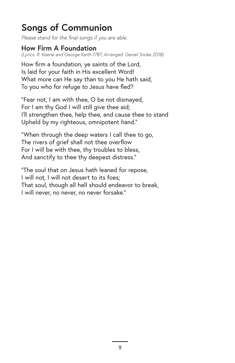# **Songs of Communion**

*Please stand for the final songs if you are able.*

#### **How Firm A Foundation**

*(Lyrics: R. Keene and George Keith 1787; Arranged: Daniel Snoke 2018)*

How firm a foundation, ye saints of the Lord, Is laid for your faith in His excellent Word! What more can He say than to you He hath said, To you who for refuge to Jesus have fled?

"Fear not, I am with thee, O be not dismayed, For I am thy God I will still give thee aid; I'll strengthen thee, help thee, and cause thee to stand Upheld by my righteous, omnipotent hand."

"When through the deep waters I call thee to go, The rivers of grief shall not thee overflow For I will be with thee, thy troubles to bless, And sanctify to thee thy deepest distress."

"The soul that on Jesus hath leaned for repose, I will not, I will not desert to its foes; That soul, though all hell should endeavor to break, I will never, no never, no never forsake."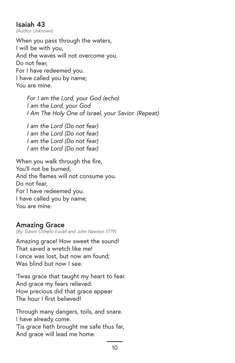#### **Isaiah 43**

*(Author Unknown)*

When you pass through the waters, I will be with you, And the waves will not overcome you. Do not fear, For I have redeemed you. I have called you by name; You are mine.

*For I am the Lord, your God (echo) I am the Lord, your God I Am The Holy One of Israel, your Savior. (Repeat)*

*I am the Lord (Do not fear) I am the Lord (Do not fear) I am the Lord (Do not fear) I am the Lord (Do not fear)*

When you walk through the fire, You'll not be burned, And the flames will not consume you. Do not fear, For I have redeemed you. I have called you by name; You are mine.

#### **Amazing Grace**

*(By: Edwin Othello Excell and John Newton 1779)*

Amazing grace! How sweet the sound! That saved a wretch like me! I once was lost, but now am found; Was blind but now I see.

'Twas grace that taught my heart to fear. And grace my fears relieved. How precious did that grace appear The hour I first believed!

Through many dangers, toils, and snare. I have already come. 'Tis grace hath brought me safe thus far, And grace will lead me home.